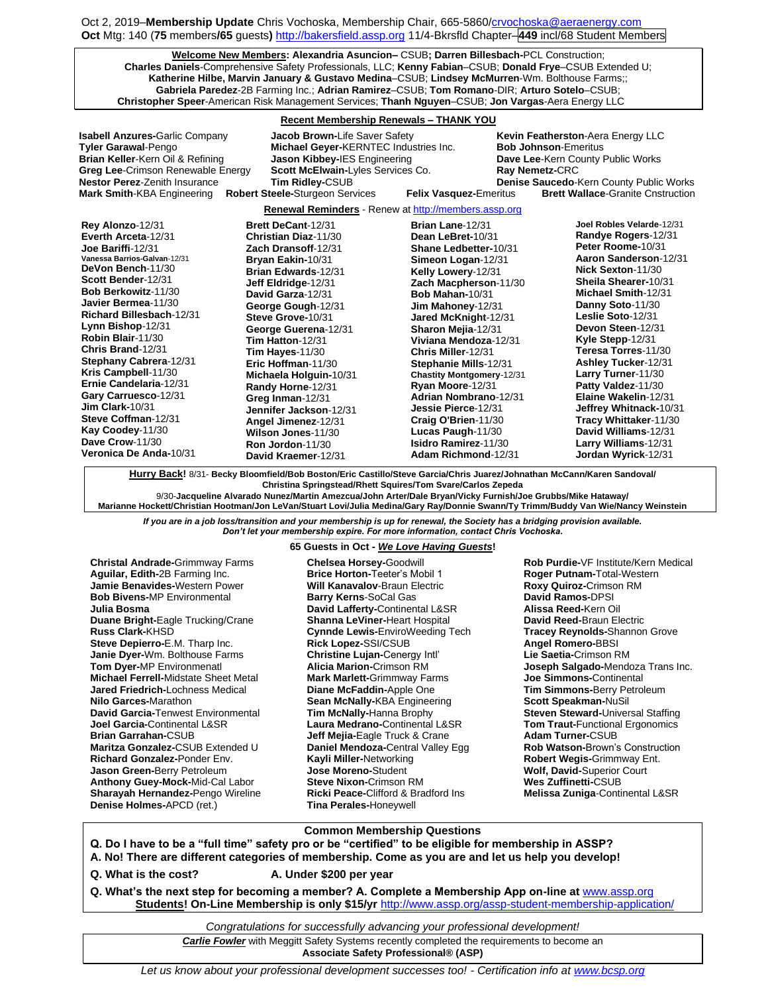Oct 2, 2019–**Membership Update** Chris Vochoska, Membership Chair, 665-5860[/crvochoska@aeraenergy.com](mailto:crvochoska@aeraenergy.com) **Oct** Mtg: 140 (**75** members**/65** guests**)** [http://bakersfield.assp.org](http://bakersfield.assp.org/) 11/4-Bkrsfld Chapter–**449** incl/68 Student Members

**Welcome New Members: Alexandria Asuncion–** CSUB**; Darren Billesbach-**PCL Construction; **Charles Daniels**-Comprehensive Safety Professionals, LLC; **Kenny Fabian**–CSUB; **Donald Frye**–CSUB Extended U; **Katherine Hilbe, Marvin January & Gustavo Medina**–CSUB; **Lindsey McMurren**-Wm. Bolthouse Farms;; **Gabriela Paredez**-2B Farming Inc.; **Adrian Ramirez**–CSUB; **Tom Romano**-DIR; **Arturo Sotelo**–CSUB; **Christopher Speer**-American Risk Management Services; **Thanh Nguyen**–CSUB; **Jon Vargas**-Aera Energy LLC

# **Recent Membership Renewals – THANK YOU**

**Isabell Anzures-**Garlic Company **Jacob Brown-Life Saver Safety Kevin Featherston-Aera Energy LLC Tyler Garawal**-Pengo **Michael Geyer-**KERNTEC Industries Inc. **Bob Johnson**-Emeritus **Brian Keller**-Kern Oil & Refining **Jason Kibbey-**IES Engineering **Dave Lee**-Kern County Public Works **Greg Lee**-Crimson Renewable Energy **Scott McElwain-**Lyles Services Co. **Ray Nemetz-**CRC **Nestor Perez**-Zenith Insurance **Tim Ridley-**CSUB **Denise Saucedo**-Kern County Public Works **Robert Steele-Sturgeon Services** 

**Brett DeCant**-12/31

**Renewal Reminders** - Renew a[t http://members.assp.org](http://members.assp.org/)

| Rey Alonzo-12/31             |
|------------------------------|
| Everth Arceta-12/31          |
| Joe Bariffi-12/31            |
| Vanessa Barrios-Galvan-12/31 |
| DeVon Bench-11/30            |
| Scott Bender-12/31           |
| <b>Bob Berkowitz-11/30</b>   |
| Javier Bermea-11/30          |
| Richard Billesbach-12/31     |
| Lynn Bishop-12/31            |
| Robin Blair-11/30            |
| Chris Brand-12/31            |
| Stephany Cabrera-12/31       |
| Kris Campbell-11/30          |
| Ernie Candelaria-12/31       |
| Gary Carruesco-12/31         |
| $Jim$ Clark-10/31            |
| Steve Coffman-12/31          |
| Kay Coodey-11/30             |
| Dave Crow-11/30              |
| Veronica De Anda-10/31       |

**Christian Diaz**-11/30 **Zach Dransoff**-12/31 **Bryan Eakin-**10/31 **Brian Edwards**-12/31 **Jeff Eldridge**-12/31 **David Garza**-12/31 **George Gough**-12/31 **Steve Grove-**10/31 **George Guerena**-12/31 **Tim Hatton**-12/31 **Tim Hayes**-11/30 **Eric Hoffman**-11/30 **Michaela Holguin-**10/31 **Randy Horne**-12/31 **Greg Inman**-12/31 **Jennifer Jackson**-12/31 **Angel Jimenez**-12/31 **Wilson Jones**-11/30 **Ron Jordon**-11/30 **David Kraemer**-12/31

**Brian Lane**-12/31 **Dean LeBret-**10/31 **Shane Ledbetter-**10/31 **Simeon Logan**-12/31 **Kelly Lowery**-12/31 **Zach Macpherson**-11/30 **Bob Mahan-**10/31 **Jim Mahoney**-12/31 **Jared McKnight**-12/31 **Sharon Mejia**-12/31 **Viviana Mendoza**-12/31 **Chris Miller**-12/31 **Stephanie Mills**-12/31 **Chastity Montgomery**-12/31 **Ryan Moore**-12/31 **Adrian Nombrano**-12/31 **Jessie Pierce**-12/31 **Craig O'Brien**-11/30 **Lucas Paugh**-11/30 **Isidro Ramirez**-11/30 **Adam Richmond**-12/31

**Joel Robles Velarde**-12/31 **Randye Rogers**-12/31 **Peter Roome-**10/31 **Aaron Sanderson**-12/31 **Nick Sexton**-11/30 **Sheila Shearer-**10/31 **Michael Smith**-12/31 **Danny Soto**-11/30 **Leslie Soto**-12/31 **Devon Steen**-12/31 **Kyle Stepp**-12/31 **Teresa Torres**-11/30 **Ashley Tucker**-12/31 **Larry Turner**-11/30 **Patty Valdez**-11/30 **Elaine Wakelin**-12/31 **Jeffrey Whitnack-**10/31 **Tracy Whittaker**-11/30 **David Williams**-12/31 **Larry Williams**-12/31 **Jordan Wyrick**-12/31

**Hurry Back!** 8/31- **Becky Bloomfield/Bob Boston/Eric Castillo/Steve Garcia/Chris Juarez/Johnathan McCann/Karen Sandoval/ Christina Springstead/Rhett Squires/Tom Svare/Carlos Zepeda** 9/30-**Jacqueline Alvarado Nunez/Martin Amezcua/John Arter/Dale Bryan/Vicky Furnish/Joe Grubbs/Mike Hataway/**

**Marianne Hockett/Christian Hootman/Jon LeVan/Stuart Lovi/Julia Medina/Gary Ray/Donnie Swann/Ty Trimm/Buddy Van Wie/Nancy Weinstein**

*If you are in a job loss/transition and your membership is up for renewal, the Society has a bridging provision available. Don't let your membership expire. For more information, contact Chris Vochoska.* 

**------------------------------------------------------------------------------------------------------------------------------------------------------------- 65 Guests in Oct -** *We Love Having Guests***!**

**Chelsea Horsey-**Goodwill

**Christal Andrade-**Grimmway Farms **Aguilar, Edith-**2B Farming Inc. **Jamie Benavides-**Western Power **Bob Bivens-**MP Environmental **Julia Bosma Duane Bright-**Eagle Trucking/Crane **Russ Clark-**KHSD **Steve Depierro-**E.M. Tharp Inc. **Janie Dyer-**Wm. Bolthouse Farms **Tom Dyer-**MP Environmenatl **Michael Ferrell-**Midstate Sheet Metal **Jared Friedrich-**Lochness Medical **Nilo Garces-**Marathon **David Garcia-**Tenwest Environmental **Joel Garcia-**Continental L&SR **Brian Garrahan-**CSUB **Maritza Gonzalez-**CSUB Extended U **Richard Gonzalez-**Ponder Env. **Jason Green-**Berry Petroleum **Anthony Guey-Mock-**Mid-Cal Labor **Sharayah Hernandez-**Pengo Wireline **Denise Holmes-**APCD (ret.)

#### **Brice Horton-**Teeter's Mobil 1 **Will Kanavalov**-Braun Electric **Barry Kerns**-SoCal Gas **David Lafferty-**Continental L&SR **Shanna LeViner-**Heart Hospital **Cynnde Lewis-**EnviroWeeding Tech **Rick Lopez-**SSI/CSUB **Christine Lujan-**Cenergy Intl' **Alicia Marion-**Crimson RM **Mark Marlett-**Grimmway Farms **Diane McFaddin-**Apple One **Sean McNally-**KBA Engineering **Tim McNally-**Hanna Brophy **Laura Medrano-**Continental L&SR **Jeff Mejia-**Eagle Truck & Crane **Daniel Mendoza-**Central Valley Egg **Kayli Miller-**Networking **Jose Moreno-**Student **Steve Nixon-**Crimson RM **Ricki Peace-**Clifford & Bradford Ins **Tina Perales-**Honeywell

**Rob Purdie-**VF Institute/Kern Medical **Roger Putnam-**Total-Western **Roxy Quiroz-**Crimson RM **David Ramos-**DPSI **Alissa Reed-**Kern Oil **David Reed-**Braun Electric **Tracey Reynolds-**Shannon Grove **Angel Romero-**BBSI **Lie Saetia-**Crimson RM **Joseph Salgado-**Mendoza Trans Inc. **Joe Simmons-**Continental **Tim Simmons-**Berry Petroleum **Scott Speakman-**NuSil **Steven Steward-**Universal Staffing **Tom Traut-**Functional Ergonomics **Adam Turner-**CSUB **Rob Watson-**Brown's Construction **Robert Wegis-**Grimmway Ent. **Wolf, David-**Superior Court **Wes Zuffinetti-**CSUB **Melissa Zuniga**-Continental L&SR

## **Common Membership Questions**

**Q. Do I have to be a "full time" safety pro or be "certified" to be eligible for membership in ASSP?** 

**A. No! There are different categories of membership. Come as you are and let us help you develop!** 

**Q. What is the cost? A. Under \$200 per year**

**Q. What's the next step for becoming a member? A. Complete a Membership App on-line at** [www.assp.org](http://www.assp.org/) **Students! On-Line Membership is only \$15/yr** <http://www.assp.org/assp-student-membership-application/>

*Congratulations for successfully advancing your professional development!*

**Carlie Fowler** with Meggitt Safety Systems recently completed the requirements to become an **Associate Safety Professional® (ASP)** 

*Let us know about your professional development successes too! - Certification info a[t www.bcsp.org](http://www.bcsp.org/)*